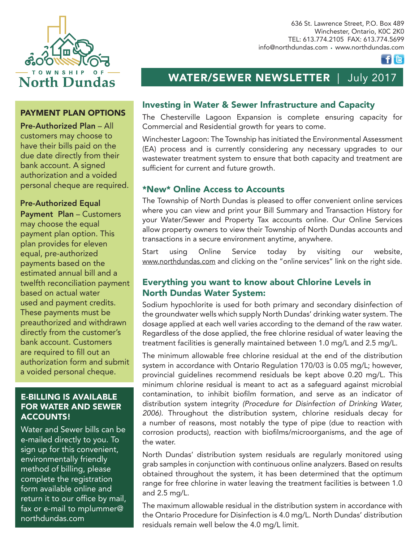

# PAYMENT PLAN OPTIONS

Pre-Authorized Plan – All customers may choose to have their bills paid on the due date directly from their bank account. A signed authorization and a voided personal cheque are required.

### Pre-Authorized Equal

Payment Plan – Customers may choose the equal payment plan option. This plan provides for eleven equal, pre-authorized payments based on the estimated annual bill and a twelfth reconciliation payment based on actual water used and payment credits. These payments must be preauthorized and withdrawn directly from the customer's bank account. Customers are required to fill out an authorization form and submit a voided personal cheque.

# E-BILLING IS AVAILABLE FOR WATER AND SEWER ACCOUNTS!

Water and Sewer bills can be e-mailed directly to you. To sign up for this convenient, environmentally friendly method of billing, please complete the registration form available online and return it to our office by mail, fax or e-mail to mplummer@ northdundas.com

636 St. Lawrence Street, P.O. Box 489 Winchester, Ontario, K0C 2K0 TEL: 613.774.2105 FAX: 613.774.5699 info@northdundas.com • www.northdundas.com

 $f|**E**$ 

# WATER/SEWER NEWSLETTER | July 2017

### Investing in Water & Sewer Infrastructure and Capacity

The Chesterville Lagoon Expansion is complete ensuring capacity for Commercial and Residential growth for years to come.

Winchester Lagoon: The Township has initiated the Environmental Assessment (EA) process and is currently considering any necessary upgrades to our wastewater treatment system to ensure that both capacity and treatment are sufficient for current and future growth.

# \*New\* Online Access to Accounts

The Township of North Dundas is pleased to offer convenient online services where you can view and print your Bill Summary and Transaction History for your Water/Sewer and Property Tax accounts online. Our Online Services allow property owners to view their Township of North Dundas accounts and transactions in a secure environment anytime, anywhere.

Start using Online Service today by visiting our website, www.northdundas.com and clicking on the "online services" link on the right side.

# Everything you want to know about Chlorine Levels in North Dundas Water System:

Sodium hypochlorite is used for both primary and secondary disinfection of the groundwater wells which supply North Dundas' drinking water system. The dosage applied at each well varies according to the demand of the raw water. Regardless of the dose applied, the free chlorine residual of water leaving the treatment facilities is generally maintained between 1.0 mg/L and 2.5 mg/L.

The minimum allowable free chlorine residual at the end of the distribution system in accordance with Ontario Regulation 170/03 is 0.05 mg/L; however, provincial guidelines recommend residuals be kept above 0.20 mg/L. This minimum chlorine residual is meant to act as a safeguard against microbial contamination, to inhibit biofilm formation, and serve as an indicator of distribution system integrity *(Procedure for Disinfection of Drinking Water, 2006).* Throughout the distribution system, chlorine residuals decay for a number of reasons, most notably the type of pipe (due to reaction with corrosion products), reaction with biofilms/microorganisms, and the age of the water.

North Dundas' distribution system residuals are regularly monitored using grab samples in conjunction with continuous online analyzers. Based on results obtained throughout the system, it has been determined that the optimum range for free chlorine in water leaving the treatment facilities is between 1.0 and 2.5 mg/L.

The maximum allowable residual in the distribution system in accordance with the Ontario Procedure for Disinfection is 4.0 mg/L. North Dundas' distribution residuals remain well below the 4.0 mg/L limit.